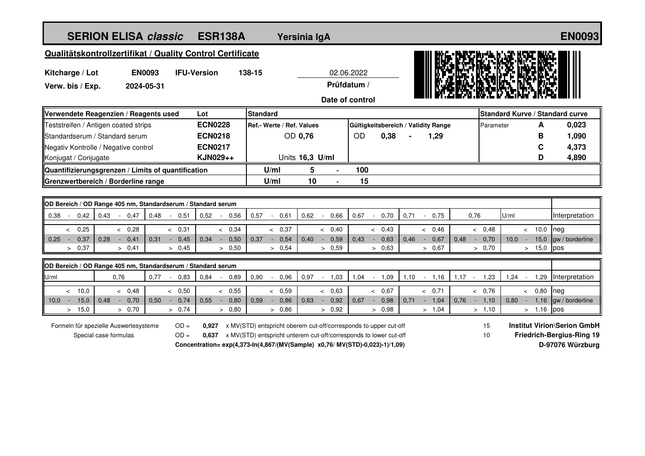| <b>SERION ELISA classic</b><br><b>ESR138A</b>                                                                             |                 |                | Yersinia IgA              |                                                                              |                 |                |             | <b>EN0093</b>  |                                     |         |                                     |                |                                    |                                  |                                        |  |
|---------------------------------------------------------------------------------------------------------------------------|-----------------|----------------|---------------------------|------------------------------------------------------------------------------|-----------------|----------------|-------------|----------------|-------------------------------------|---------|-------------------------------------|----------------|------------------------------------|----------------------------------|----------------------------------------|--|
| Qualitätskontrollzertifikat / Quality Control Certificate                                                                 |                 |                |                           |                                                                              |                 |                |             |                |                                     |         |                                     |                |                                    |                                  |                                        |  |
| <b>IFU-Version</b><br>138-15<br>02.06.2022                                                                                |                 |                |                           |                                                                              |                 |                |             |                |                                     |         |                                     |                |                                    |                                  |                                        |  |
| Kitcharge / Lot<br><b>EN0093</b><br>2024-05-31                                                                            |                 |                |                           |                                                                              |                 |                | Prüfdatum / |                |                                     |         |                                     |                |                                    |                                  |                                        |  |
| Verw. bis / Exp.                                                                                                          |                 |                |                           |                                                                              |                 |                |             |                |                                     |         |                                     |                |                                    |                                  |                                        |  |
|                                                                                                                           |                 |                | Date of control           |                                                                              |                 |                |             |                |                                     |         |                                     |                |                                    |                                  |                                        |  |
| Verwendete Reagenzien / Reagents used                                                                                     |                 |                | Lot                       | <b>Standard</b>                                                              |                 |                |             |                |                                     |         |                                     |                |                                    |                                  | <b>Standard Kurve / Standard curve</b> |  |
| Teststreifen / Antigen coated strips                                                                                      |                 | <b>ECN0228</b> | Ref.- Werte / Ref. Values |                                                                              |                 |                |             |                | Gültigkeitsbereich / Validity Range |         |                                     | A<br>Parameter |                                    | 0,023                            |                                        |  |
| Standardserum / Standard serum                                                                                            |                 | <b>ECN0218</b> | OD 0,76                   |                                                                              |                 | OD<br>0,38     |             |                | 1,29                                |         |                                     |                | В                                  | 1,090                            |                                        |  |
| Negativ Kontrolle / Negative control                                                                                      |                 |                | <b>ECN0217</b>            |                                                                              |                 |                |             |                |                                     |         |                                     |                |                                    | C                                | 4,373                                  |  |
| Konjugat / Conjugate                                                                                                      |                 |                | KJN029++                  |                                                                              | Units 16,3 U/ml |                |             |                |                                     |         |                                     |                |                                    | D                                | 4,890                                  |  |
| Quantifizierungsgrenzen / Limits of quantification<br>Grenzwertbereich / Borderline range                                 |                 |                |                           | U/ml                                                                         | 5               |                | 100         |                |                                     |         |                                     |                |                                    |                                  |                                        |  |
|                                                                                                                           |                 |                |                           | U/ml                                                                         | 10              |                | 15          |                |                                     |         |                                     |                |                                    |                                  |                                        |  |
| OD Bereich / OD Range 405 nm, Standardserum / Standard serum                                                              |                 |                |                           |                                                                              |                 |                |             |                |                                     |         |                                     |                |                                    |                                  |                                        |  |
| 0,38<br>0,42<br>0,43                                                                                                      | $-0.47$<br>0,48 | 0,51<br>$\sim$ | 0,52<br>0.56<br>$\sim$    | 0,57<br>$\sim$                                                               | 0,62<br>0.61    | 0,66<br>$\sim$ | 0,67        | 0,70<br>$\sim$ | 0,71<br>$\sim$                      | 0,75    | 0,76                                |                | U/ml                               |                                  | Interpretation                         |  |
| 0,25<br>$\prec$                                                                                                           | < 0,28          | & 0,31         | & 0,34                    |                                                                              | & 0,37          | < 0.40         |             | & 0,43         |                                     | < 0.46  |                                     | < 0.48         |                                    | < 10.0                           | neg                                    |  |
| 0,37<br>0.28<br>0.25<br>$\sim$                                                                                            | $-0.41$<br>0.31 | 0,45<br>$\sim$ | 0.34<br>0,50<br>$\sim$    | 0.37<br>$\sim$                                                               | 0,54<br>0.40    | 0,59<br>$\sim$ | 0.43        | 0.63<br>$\sim$ | 0.46<br>$\sim$                      | 0,67    | 0.48<br>$\mathcal{L}_{\mathcal{A}}$ | 0,70           | 10.0 <sub>1</sub><br>$\sim$        | 15,0                             | gw / borderline                        |  |
| 0,37<br>$\geq$                                                                                                            | > 0,41          | > 0.45         | > 0.50                    | > 0.54                                                                       |                 | > 0.59         |             | > 0.63         |                                     | > 0.67  |                                     | > 0.70         |                                    | > 15,0                           | pos                                    |  |
| OD Bereich / OD Range 405 nm, Standardserum / Standard serum                                                              |                 |                |                           |                                                                              |                 |                |             |                |                                     |         |                                     |                |                                    |                                  |                                        |  |
| 0,76<br>U/ml                                                                                                              |                 | $0,77 - 0,83$  | 0,84<br>0.89<br>$\sim$    | 0.90<br>$\sim$                                                               | 0,96<br>0,97    | 1,03<br>$\sim$ | 1,04        | 1,09<br>$\sim$ | 1,10                                | $-1,16$ | $1,17 -$                            | 1,23           | $1,24 -$                           | 1,29                             | Interpretation                         |  |
| < 10.0                                                                                                                    | < 0.48          | & 0.50         | & 0.55                    | & 0.59                                                                       |                 | < 0,63         |             | < 0.67         |                                     | & 0.71  |                                     | & 0.76         |                                    | < 0.80                           | neg                                    |  |
| $10.0 -$<br>15,0<br>0,48                                                                                                  | $-0,70$<br>0,50 | 0,74<br>$\sim$ | 0,80<br>0.55<br>$\sim$    | 0,59<br>$\sim$                                                               | 0,86<br>0,63    | 0,92<br>$\sim$ | 0,67        | 0,98<br>$\sim$ | 0,71<br>$\sim$                      | 1,04    | 0,76                                | $-1,10$        | $0.80 -$                           | 1,16                             | gw / borderline                        |  |
| > 15,0                                                                                                                    | > 0,70          | > 0,74         | > 0,80                    |                                                                              | > 0,86          | > 0,92         |             | > 0.98         |                                     | > 1,04  |                                     | > 1,10         |                                    | > 1,16                           | pos                                    |  |
| $OD =$<br>0,927 x MV(STD) entspricht oberem cut-off/corresponds to upper cut-off<br>Formeln für spezielle Auswertesysteme |                 |                |                           |                                                                              |                 |                |             |                |                                     | 15      |                                     |                | <b>Institut Virion\Serion GmbH</b> |                                  |                                        |  |
| Special case formulas<br>$OD =$                                                                                           |                 |                |                           | 0,637 x MV(STD) entspricht unterem cut-off/corresponds to lower cut-off      |                 |                |             |                | 10                                  |         |                                     |                |                                    | <b>Friedrich-Bergius-Ring 19</b> |                                        |  |
|                                                                                                                           |                 |                |                           | Concentration= exp(4,373-ln(4,867/(MV(Sample) x0,76/ MV(STD)-0,023)-1)/1,09) |                 |                |             |                |                                     |         |                                     |                |                                    |                                  | D-97076 Würzburg                       |  |
|                                                                                                                           |                 |                |                           |                                                                              |                 |                |             |                |                                     |         |                                     |                |                                    |                                  |                                        |  |
|                                                                                                                           |                 |                |                           |                                                                              |                 |                |             |                |                                     |         |                                     |                |                                    |                                  |                                        |  |
|                                                                                                                           |                 |                |                           |                                                                              |                 |                |             |                |                                     |         |                                     |                |                                    |                                  |                                        |  |
|                                                                                                                           |                 |                |                           |                                                                              |                 |                |             |                |                                     |         |                                     |                |                                    |                                  |                                        |  |
|                                                                                                                           |                 |                |                           |                                                                              |                 |                |             |                |                                     |         |                                     |                |                                    |                                  |                                        |  |
|                                                                                                                           |                 |                |                           |                                                                              |                 |                |             |                |                                     |         |                                     |                |                                    |                                  |                                        |  |